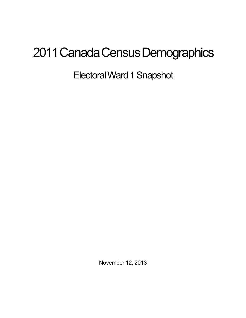## 2011 Canada Census Demographics

Electoral Ward 1 Snapshot

November 12, 2013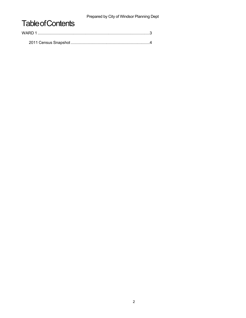Prepared by City of Windsor Planning Dept

## **Table of Contents**

| WARD 1 |  |  |
|--------|--|--|
|        |  |  |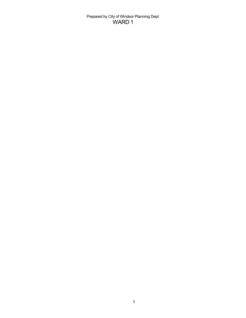## Prepared by City of Windsor Planning Dept WARD 1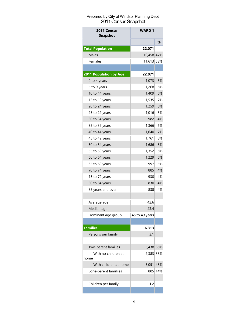## Prepared by City of Windsor Planning Dept 2011 Census Snapshot

| 2011 Census<br><b>Snapshot</b> | <b>WARD 1</b>  |     |
|--------------------------------|----------------|-----|
|                                |                | ℅   |
| <b>Total Population</b>        | 22,071         |     |
| Males                          | 10,458 47%     |     |
| Females                        | 11,613 53%     |     |
|                                |                |     |
| 2011 Population by Age         | 22,071         |     |
| 0 to 4 years                   | 1,073          | 5%  |
| 5 to 9 years                   | 1,268          | 6%  |
| 10 to 14 years                 | 1,409          | 6%  |
| 15 to 19 years                 | 1,535          | 7%  |
| 20 to 24 years                 | 1,259          | 6%  |
| 25 to 29 years                 | 1,016          | 5%  |
| 30 to 34 years                 | 982            | 4%  |
| 35 to 39 years                 | 1.366          | 6%  |
| 40 to 44 years                 | 1,640          | 7%  |
| 45 to 49 years                 | 1,761          | 8%  |
| 50 to 54 years                 | 1,686          | 8%  |
| 55 to 59 years                 | 1,352          | 6%  |
| 60 to 64 years                 | 1,229          | 6%  |
| 65 to 69 years                 | 9971           | 5%  |
| 70 to 74 years                 | 885            | 4%  |
| 75 to 79 years                 | 930            | 4%  |
| 80 to 84 years                 | 830            | 4%  |
| 85 years and over              | 838            | 4%  |
|                                |                |     |
| Average age                    | 42.6           |     |
| Median age                     | 43.4           |     |
| Dominant age group             | 45 to 49 years |     |
|                                |                |     |
| <b>Families</b>                | 6,313          |     |
| Persons per family             | 3.1            |     |
|                                |                |     |
| Two-parent families            | 5,438 86%      |     |
| With no children at            | 2,383 38%      |     |
| home                           |                |     |
| With children at home          | 3,051          | 48% |
| Lone-parent familiies          | 8851           | 14% |
|                                |                |     |
| Children per family            | 1.2            |     |
|                                |                |     |